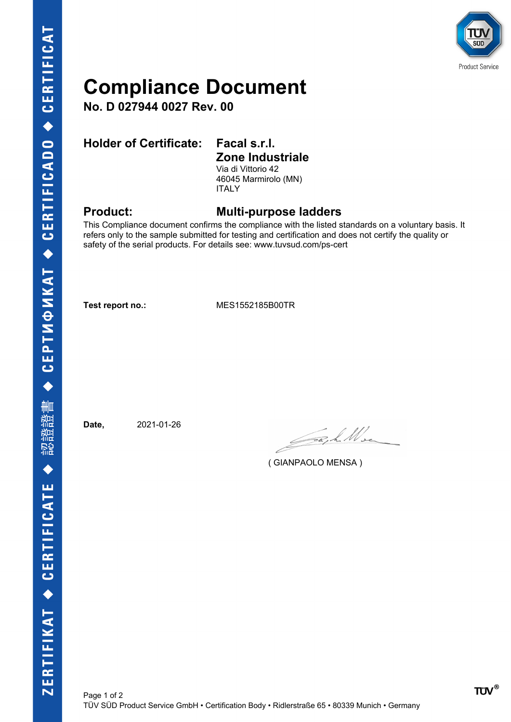

## **Compliance Document**

**No. D 027944 0027 Rev. 00**

### **Holder of Certificate: Facal s.r.l.**

# **Zone Industriale**

Via di Vittorio 42 46045 Marmirolo (MN) ITALY

### **Product: Multi-purpose ladders**

This Compliance document confirms the compliance with the listed standards on a voluntary basis. It refers only to the sample submitted for testing and certification and does not certify the quality or safety of the serial products. For details see: www.tuvsud.com/ps-cert

**Test report no.:** MES1552185B00TR

**Date,** 2021-01-26

Jack Wee

( GIANPAOLO MENSA )